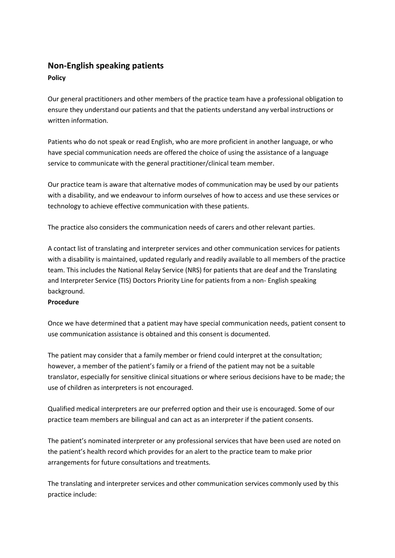## **Non-English speaking patients**

## **Policy**

Our general practitioners and other members of the practice team have a professional obligation to ensure they understand our patients and that the patients understand any verbal instructions or written information.

Patients who do not speak or read English, who are more proficient in another language, or who have special communication needs are offered the choice of using the assistance of a language service to communicate with the general practitioner/clinical team member.

Our practice team is aware that alternative modes of communication may be used by our patients with a disability, and we endeavour to inform ourselves of how to access and use these services or technology to achieve effective communication with these patients.

The practice also considers the communication needs of carers and other relevant parties.

A contact list of translating and interpreter services and other communication services for patients with a disability is maintained, updated regularly and readily available to all members of the practice team. This includes the National Relay Service (NRS) for patients that are deaf and the Translating and Interpreter Service (TIS) Doctors Priority Line for patients from a non- English speaking background.

## **Procedure**

Once we have determined that a patient may have special communication needs, patient consent to use communication assistance is obtained and this consent is documented.

The patient may consider that a family member or friend could interpret at the consultation; however, a member of the patient's family or a friend of the patient may not be a suitable translator, especially for sensitive clinical situations or where serious decisions have to be made; the use of children as interpreters is not encouraged.

Qualified medical interpreters are our preferred option and their use is encouraged. Some of our practice team members are bilingual and can act as an interpreter if the patient consents.

The patient's nominated interpreter or any professional services that have been used are noted on the patient's health record which provides for an alert to the practice team to make prior arrangements for future consultations and treatments.

The translating and interpreter services and other communication services commonly used by this practice include: